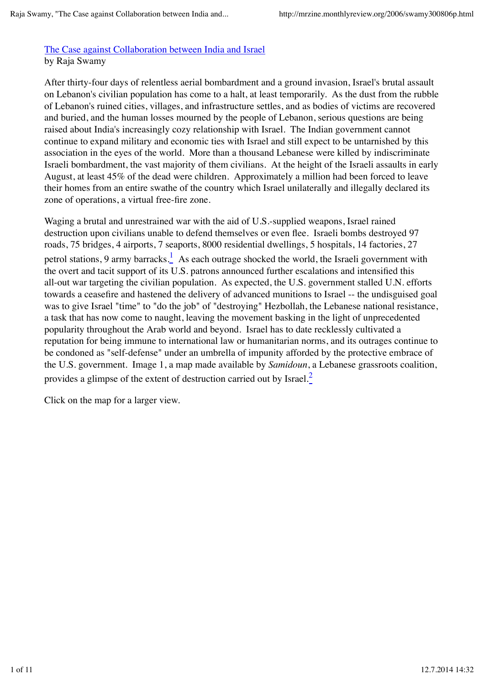## The Case against Collaboration between India and Israel by Raja Swamy

After thirty-four days of relentless aerial bombardment and a ground invasion, Israel's brutal assault on Lebanon's civilian population has come to a halt, at least temporarily. As the dust from the rubble of Lebanon's ruined cities, villages, and infrastructure settles, and as bodies of victims are recovered and buried, and the human losses mourned by the people of Lebanon, serious questions are being raised about India's increasingly cozy relationship with Israel. The Indian government cannot continue to expand military and economic ties with Israel and still expect to be untarnished by this association in the eyes of the world. More than a thousand Lebanese were killed by indiscriminate Israeli bombardment, the vast majority of them civilians. At the height of the Israeli assaults in early August, at least 45% of the dead were children. Approximately a million had been forced to leave their homes from an entire swathe of the country which Israel unilaterally and illegally declared its zone of operations, a virtual free-fire zone.

Waging a brutal and unrestrained war with the aid of U.S.-supplied weapons, Israel rained destruction upon civilians unable to defend themselves or even flee. Israeli bombs destroyed 97 roads, 75 bridges, 4 airports, 7 seaports, 8000 residential dwellings, 5 hospitals, 14 factories, 27 petrol stations, 9 army barracks. $\frac{1}{2}$  As each outrage shocked the world, the Israeli government with the overt and tacit support of its U.S. patrons announced further escalations and intensified this all-out war targeting the civilian population. As expected, the U.S. government stalled U.N. efforts towards a ceasefire and hastened the delivery of advanced munitions to Israel -- the undisguised goal was to give Israel "time" to "do the job" of "destroying" Hezbollah, the Lebanese national resistance, a task that has now come to naught, leaving the movement basking in the light of unprecedented popularity throughout the Arab world and beyond. Israel has to date recklessly cultivated a reputation for being immune to international law or humanitarian norms, and its outrages continue to be condoned as "self-defense" under an umbrella of impunity afforded by the protective embrace of the U.S. government. Image 1, a map made available by *Samidoun*, a Lebanese grassroots coalition, provides a glimpse of the extent of destruction carried out by Israel. $\frac{2}{\cdot}$ 

Click on the map for a larger view.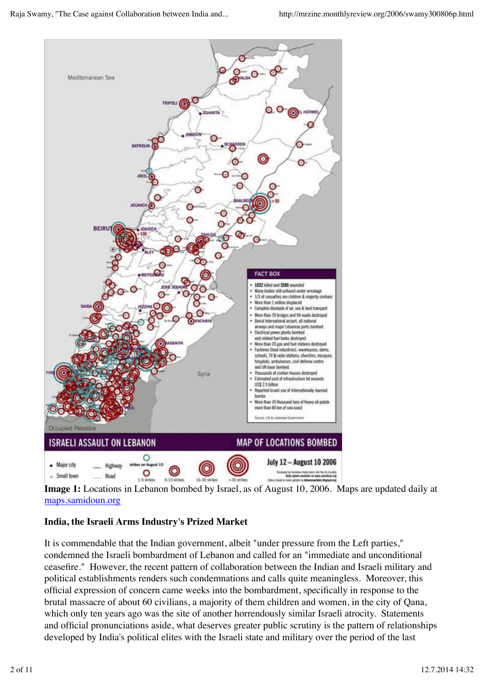

**Image 1:** Locations in Lebanon bombed by Israel, as of August 10, 2006. Maps are updated daily at maps.samidoun.org

# **India, the Israeli Arms Industry's Prized Market**

It is commendable that the Indian government, albeit "under pressure from the Left parties," condemned the Israeli bombardment of Lebanon and called for an "immediate and unconditional ceasefire." However, the recent pattern of collaboration between the Indian and Israeli military and political establishments renders such condemnations and calls quite meaningless. Moreover, this official expression of concern came weeks into the bombardment, specifically in response to the brutal massacre of about 60 civilians, a majority of them children and women, in the city of Qana, which only ten years ago was the site of another horrendously similar Israeli atrocity. Statements and official pronunciations aside, what deserves greater public scrutiny is the pattern of relationships developed by India's political elites with the Israeli state and military over the period of the last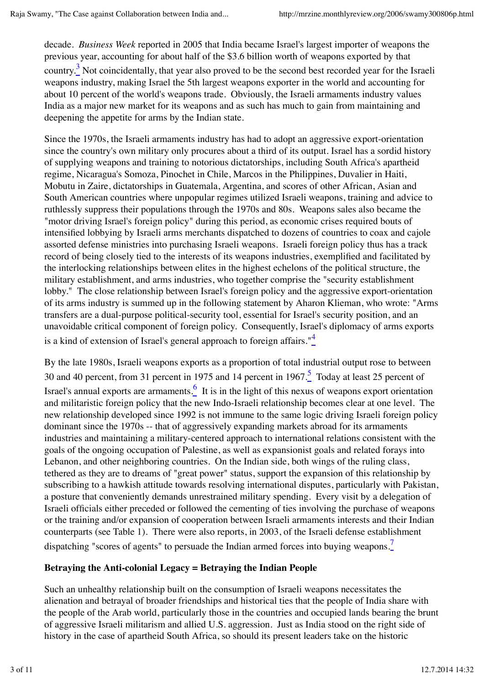decade. *Business Week* reported in 2005 that India became Israel's largest importer of weapons the previous year, accounting for about half of the \$3.6 billion worth of weapons exported by that country.<sup>3</sup> Not coincidentally, that year also proved to be the second best recorded year for the Israeli weapons industry, making Israel the 5th largest weapons exporter in the world and accounting for about 10 percent of the world's weapons trade. Obviously, the Israeli armaments industry values India as a major new market for its weapons and as such has much to gain from maintaining and deepening the appetite for arms by the Indian state.

Since the 1970s, the Israeli armaments industry has had to adopt an aggressive export-orientation since the country's own military only procures about a third of its output. Israel has a sordid history of supplying weapons and training to notorious dictatorships, including South Africa's apartheid regime, Nicaragua's Somoza, Pinochet in Chile, Marcos in the Philippines, Duvalier in Haiti, Mobutu in Zaire, dictatorships in Guatemala, Argentina, and scores of other African, Asian and South American countries where unpopular regimes utilized Israeli weapons, training and advice to ruthlessly suppress their populations through the 1970s and 80s. Weapons sales also became the "motor driving Israel's foreign policy" during this period, as economic crises required bouts of intensified lobbying by Israeli arms merchants dispatched to dozens of countries to coax and cajole assorted defense ministries into purchasing Israeli weapons. Israeli foreign policy thus has a track record of being closely tied to the interests of its weapons industries, exemplified and facilitated by the interlocking relationships between elites in the highest echelons of the political structure, the military establishment, and arms industries, who together comprise the "security establishment lobby." The close relationship between Israel's foreign policy and the aggressive export-orientation of its arms industry is summed up in the following statement by Aharon Klieman, who wrote: "Arms transfers are a dual-purpose political-security tool, essential for Israel's security position, and an unavoidable critical component of foreign policy. Consequently, Israel's diplomacy of arms exports is a kind of extension of Israel's general approach to foreign affairs."<sup>4</sup>

By the late 1980s, Israeli weapons exports as a proportion of total industrial output rose to between 30 and 40 percent, from 31 percent in 1975 and 14 percent in 1967. $\frac{5}{1}$  Today at least 25 percent of Israel's annual exports are armaments. $\frac{6}{5}$  It is in the light of this nexus of weapons export orientation and militaristic foreign policy that the new Indo-Israeli relationship becomes clear at one level. The new relationship developed since 1992 is not immune to the same logic driving Israeli foreign policy dominant since the 1970s -- that of aggressively expanding markets abroad for its armaments industries and maintaining a military-centered approach to international relations consistent with the goals of the ongoing occupation of Palestine, as well as expansionist goals and related forays into Lebanon, and other neighboring countries. On the Indian side, both wings of the ruling class, tethered as they are to dreams of "great power" status, support the expansion of this relationship by subscribing to a hawkish attitude towards resolving international disputes, particularly with Pakistan, a posture that conveniently demands unrestrained military spending. Every visit by a delegation of Israeli officials either preceded or followed the cementing of ties involving the purchase of weapons or the training and/or expansion of cooperation between Israeli armaments interests and their Indian counterparts (see Table 1). There were also reports, in 2003, of the Israeli defense establishment dispatching "scores of agents" to persuade the Indian armed forces into buying weapons.<sup>7</sup>

## **Betraying the Anti-colonial Legacy = Betraying the Indian People**

Such an unhealthy relationship built on the consumption of Israeli weapons necessitates the alienation and betrayal of broader friendships and historical ties that the people of India share with the people of the Arab world, particularly those in the countries and occupied lands bearing the brunt of aggressive Israeli militarism and allied U.S. aggression. Just as India stood on the right side of history in the case of apartheid South Africa, so should its present leaders take on the historic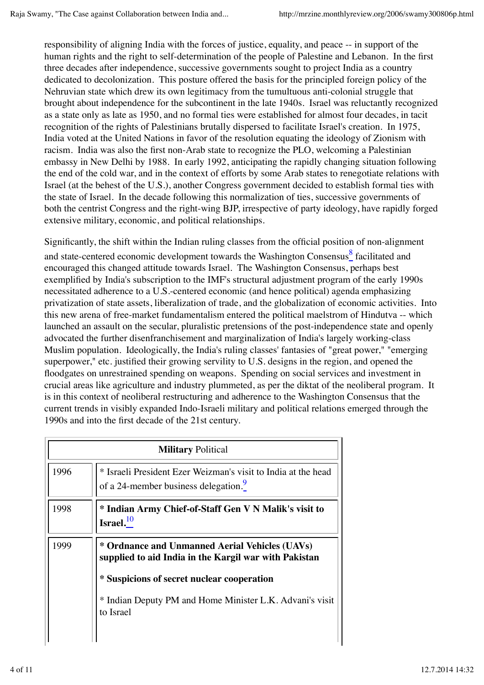responsibility of aligning India with the forces of justice, equality, and peace -- in support of the human rights and the right to self-determination of the people of Palestine and Lebanon. In the first three decades after independence, successive governments sought to project India as a country dedicated to decolonization. This posture offered the basis for the principled foreign policy of the Nehruvian state which drew its own legitimacy from the tumultuous anti-colonial struggle that brought about independence for the subcontinent in the late 1940s. Israel was reluctantly recognized as a state only as late as 1950, and no formal ties were established for almost four decades, in tacit recognition of the rights of Palestinians brutally dispersed to facilitate Israel's creation. In 1975, India voted at the United Nations in favor of the resolution equating the ideology of Zionism with racism. India was also the first non-Arab state to recognize the PLO, welcoming a Palestinian embassy in New Delhi by 1988. In early 1992, anticipating the rapidly changing situation following the end of the cold war, and in the context of efforts by some Arab states to renegotiate relations with Israel (at the behest of the U.S.), another Congress government decided to establish formal ties with the state of Israel. In the decade following this normalization of ties, successive governments of both the centrist Congress and the right-wing BJP, irrespective of party ideology, have rapidly forged extensive military, economic, and political relationships.

Significantly, the shift within the Indian ruling classes from the official position of non-alignment and state-centered economic development towards the Washington Consensus facilitated and encouraged this changed attitude towards Israel. The Washington Consensus, perhaps best exemplified by India's subscription to the IMF's structural adjustment program of the early 1990s necessitated adherence to a U.S.-centered economic (and hence political) agenda emphasizing privatization of state assets, liberalization of trade, and the globalization of economic activities. Into this new arena of free-market fundamentalism entered the political maelstrom of Hindutva -- which launched an assault on the secular, pluralistic pretensions of the post-independence state and openly advocated the further disenfranchisement and marginalization of India's largely working-class Muslim population. Ideologically, the India's ruling classes' fantasies of "great power," "emerging superpower," etc. justified their growing servility to U.S. designs in the region, and opened the floodgates on unrestrained spending on weapons. Spending on social services and investment in crucial areas like agriculture and industry plummeted, as per the diktat of the neoliberal program. It is in this context of neoliberal restructuring and adherence to the Washington Consensus that the current trends in visibly expanded Indo-Israeli military and political relations emerged through the 1990s and into the first decade of the 21st century.

| <b>Military Political</b> |                                                                                                                                                                                                                                |  |
|---------------------------|--------------------------------------------------------------------------------------------------------------------------------------------------------------------------------------------------------------------------------|--|
| 1996                      | * Israeli President Ezer Weizman's visit to India at the head<br>of a 24-member business delegation.                                                                                                                           |  |
| 1998                      | * Indian Army Chief-of-Staff Gen V N Malik's visit to<br>$\text{Israel.}^{10}$                                                                                                                                                 |  |
| 1999                      | * Ordnance and Unmanned Aerial Vehicles (UAVs)<br>supplied to aid India in the Kargil war with Pakistan<br>* Suspicions of secret nuclear cooperation<br>* Indian Deputy PM and Home Minister L.K. Advani's visit<br>to Israel |  |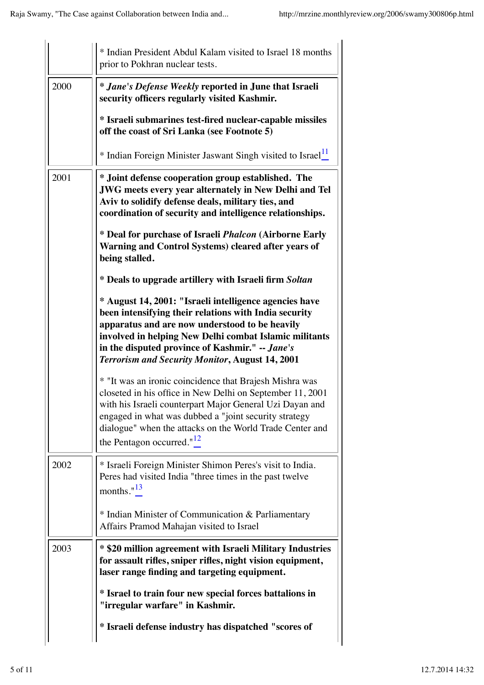|      | * Indian President Abdul Kalam visited to Israel 18 months<br>prior to Pokhran nuclear tests.                                                                                                                                                                                                                                            |
|------|------------------------------------------------------------------------------------------------------------------------------------------------------------------------------------------------------------------------------------------------------------------------------------------------------------------------------------------|
| 2000 | <i>* Jane's Defense Weekly</i> reported in June that Israeli<br>security officers regularly visited Kashmir.                                                                                                                                                                                                                             |
|      | * Israeli submarines test-fired nuclear-capable missiles<br>off the coast of Sri Lanka (see Footnote 5)                                                                                                                                                                                                                                  |
|      | * Indian Foreign Minister Jaswant Singh visited to Israel <sup>11</sup>                                                                                                                                                                                                                                                                  |
| 2001 | * Joint defense cooperation group established. The<br><b>JWG</b> meets every year alternately in New Delhi and Tel<br>Aviv to solidify defense deals, military ties, and<br>coordination of security and intelligence relationships.                                                                                                     |
|      | * Deal for purchase of Israeli <i>Phalcon</i> (Airborne Early<br>Warning and Control Systems) cleared after years of<br>being stalled.                                                                                                                                                                                                   |
|      | * Deals to upgrade artillery with Israeli firm Soltan                                                                                                                                                                                                                                                                                    |
|      | * August 14, 2001: "Israeli intelligence agencies have<br>been intensifying their relations with India security<br>apparatus and are now understood to be heavily<br>involved in helping New Delhi combat Islamic militants<br>in the disputed province of Kashmir." -- Jane's<br><b>Terrorism and Security Monitor, August 14, 2001</b> |
|      | * "It was an ironic coincidence that Brajesh Mishra was<br>closeted in his office in New Delhi on September 11, 2001<br>with his Israeli counterpart Major General Uzi Dayan and<br>engaged in what was dubbed a "joint security strategy<br>dialogue" when the attacks on the World Trade Center and<br>the Pentagon occurred." $12$    |
| 2002 | * Israeli Foreign Minister Shimon Peres's visit to India.<br>Peres had visited India "three times in the past twelve<br>months." $13$                                                                                                                                                                                                    |
|      | * Indian Minister of Communication & Parliamentary<br>Affairs Pramod Mahajan visited to Israel                                                                                                                                                                                                                                           |
| 2003 | * \$20 million agreement with Israeli Military Industries<br>for assault rifles, sniper rifles, night vision equipment,<br>laser range finding and targeting equipment.                                                                                                                                                                  |
|      | * Israel to train four new special forces battalions in<br>"irregular warfare" in Kashmir.                                                                                                                                                                                                                                               |
|      | * Israeli defense industry has dispatched "scores of                                                                                                                                                                                                                                                                                     |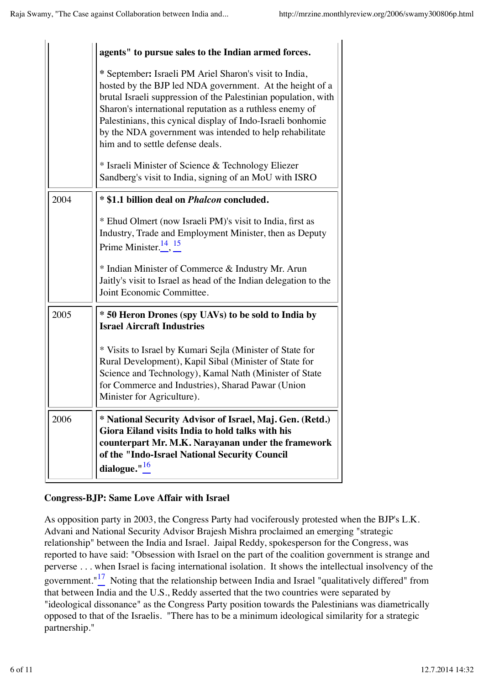|      | agents" to pursue sales to the Indian armed forces.                                                                                                                                                                                                                                                                                                                                                            |
|------|----------------------------------------------------------------------------------------------------------------------------------------------------------------------------------------------------------------------------------------------------------------------------------------------------------------------------------------------------------------------------------------------------------------|
|      | * September: Israeli PM Ariel Sharon's visit to India,<br>hosted by the BJP led NDA government. At the height of a<br>brutal Israeli suppression of the Palestinian population, with<br>Sharon's international reputation as a ruthless enemy of<br>Palestinians, this cynical display of Indo-Israeli bonhomie<br>by the NDA government was intended to help rehabilitate<br>him and to settle defense deals. |
|      | * Israeli Minister of Science & Technology Eliezer<br>Sandberg's visit to India, signing of an MoU with ISRO                                                                                                                                                                                                                                                                                                   |
| 2004 | * \$1.1 billion deal on <i>Phalcon</i> concluded.                                                                                                                                                                                                                                                                                                                                                              |
|      | * Ehud Olmert (now Israeli PM)'s visit to India, first as<br>Industry, Trade and Employment Minister, then as Deputy<br>Prime Minister. $^{14}$ , $^{15}$                                                                                                                                                                                                                                                      |
|      | * Indian Minister of Commerce & Industry Mr. Arun<br>Jaitly's visit to Israel as head of the Indian delegation to the<br>Joint Economic Committee.                                                                                                                                                                                                                                                             |
| 2005 | * 50 Heron Drones (spy UAVs) to be sold to India by<br><b>Israel Aircraft Industries</b>                                                                                                                                                                                                                                                                                                                       |
|      | * Visits to Israel by Kumari Sejla (Minister of State for<br>Rural Development), Kapil Sibal (Minister of State for<br>Science and Technology), Kamal Nath (Minister of State<br>for Commerce and Industries), Sharad Pawar (Union<br>Minister for Agriculture).                                                                                                                                               |
| 2006 | * National Security Advisor of Israel, Maj. Gen. (Retd.)<br>Giora Eiland visits India to hold talks with his<br>counterpart Mr. M.K. Narayanan under the framework<br>of the "Indo-Israel National Security Council<br>dialogue." $\frac{16}{4}$                                                                                                                                                               |

## **Congress-BJP: Same Love Affair with Israel**

As opposition party in 2003, the Congress Party had vociferously protested when the BJP's L.K. Advani and National Security Advisor Brajesh Mishra proclaimed an emerging "strategic relationship" between the India and Israel. Jaipal Reddy, spokesperson for the Congress, was reported to have said: "Obsession with Israel on the part of the coalition government is strange and perverse . . . when Israel is facing international isolation. It shows the intellectual insolvency of the government." $\frac{17}{2}$  Noting that the relationship between India and Israel "qualitatively differed" from that between India and the U.S., Reddy asserted that the two countries were separated by "ideological dissonance" as the Congress Party position towards the Palestinians was diametrically opposed to that of the Israelis. "There has to be a minimum ideological similarity for a strategic partnership."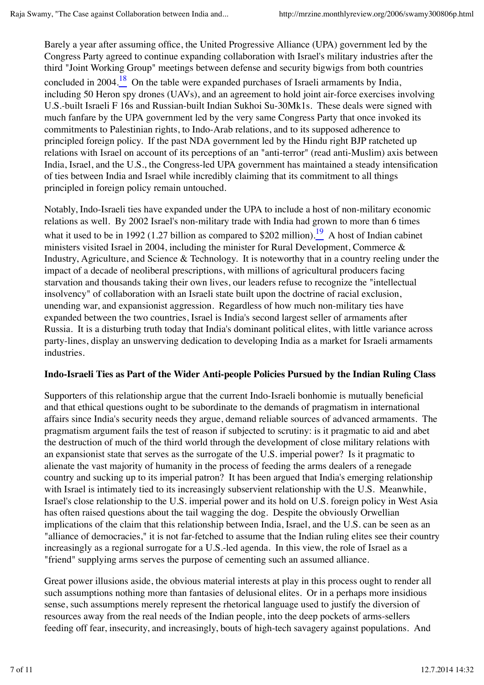Barely a year after assuming office, the United Progressive Alliance (UPA) government led by the Congress Party agreed to continue expanding collaboration with Israel's military industries after the third "Joint Working Group" meetings between defense and security bigwigs from both countries concluded in 2004.<sup>18</sup> On the table were expanded purchases of Israeli armaments by India, including 50 Heron spy drones (UAVs), and an agreement to hold joint air-force exercises involving U.S.-built Israeli F 16s and Russian-built Indian Sukhoi Su-30Mk1s. These deals were signed with much fanfare by the UPA government led by the very same Congress Party that once invoked its commitments to Palestinian rights, to Indo-Arab relations, and to its supposed adherence to principled foreign policy. If the past NDA government led by the Hindu right BJP ratcheted up relations with Israel on account of its perceptions of an "anti-terror" (read anti-Muslim) axis between India, Israel, and the U.S., the Congress-led UPA government has maintained a steady intensification of ties between India and Israel while incredibly claiming that its commitment to all things principled in foreign policy remain untouched.

Notably, Indo-Israeli ties have expanded under the UPA to include a host of non-military economic relations as well. By 2002 Israel's non-military trade with India had grown to more than 6 times what it used to be in 1992 (1.27 billion as compared to \$202 million).  $\frac{19}{10}$  A host of Indian cabinet ministers visited Israel in 2004, including the minister for Rural Development, Commerce & Industry, Agriculture, and Science & Technology. It is noteworthy that in a country reeling under the impact of a decade of neoliberal prescriptions, with millions of agricultural producers facing starvation and thousands taking their own lives, our leaders refuse to recognize the "intellectual insolvency" of collaboration with an Israeli state built upon the doctrine of racial exclusion, unending war, and expansionist aggression. Regardless of how much non-military ties have expanded between the two countries, Israel is India's second largest seller of armaments after Russia. It is a disturbing truth today that India's dominant political elites, with little variance across party-lines, display an unswerving dedication to developing India as a market for Israeli armaments industries.

#### **Indo-Israeli Ties as Part of the Wider Anti-people Policies Pursued by the Indian Ruling Class**

Supporters of this relationship argue that the current Indo-Israeli bonhomie is mutually beneficial and that ethical questions ought to be subordinate to the demands of pragmatism in international affairs since India's security needs they argue, demand reliable sources of advanced armaments. The pragmatism argument fails the test of reason if subjected to scrutiny: is it pragmatic to aid and abet the destruction of much of the third world through the development of close military relations with an expansionist state that serves as the surrogate of the U.S. imperial power? Is it pragmatic to alienate the vast majority of humanity in the process of feeding the arms dealers of a renegade country and sucking up to its imperial patron? It has been argued that India's emerging relationship with Israel is intimately tied to its increasingly subservient relationship with the U.S. Meanwhile, Israel's close relationship to the U.S. imperial power and its hold on U.S. foreign policy in West Asia has often raised questions about the tail wagging the dog. Despite the obviously Orwellian implications of the claim that this relationship between India, Israel, and the U.S. can be seen as an "alliance of democracies," it is not far-fetched to assume that the Indian ruling elites see their country increasingly as a regional surrogate for a U.S.-led agenda. In this view, the role of Israel as a "friend" supplying arms serves the purpose of cementing such an assumed alliance.

Great power illusions aside, the obvious material interests at play in this process ought to render all such assumptions nothing more than fantasies of delusional elites. Or in a perhaps more insidious sense, such assumptions merely represent the rhetorical language used to justify the diversion of resources away from the real needs of the Indian people, into the deep pockets of arms-sellers feeding off fear, insecurity, and increasingly, bouts of high-tech savagery against populations. And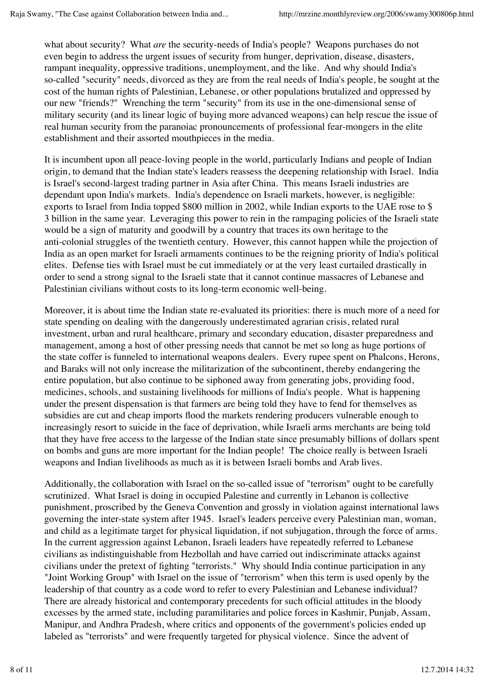what about security? What *are* the security-needs of India's people? Weapons purchases do not even begin to address the urgent issues of security from hunger, deprivation, disease, disasters, rampant inequality, oppressive traditions, unemployment, and the like. And why should India's so-called "security" needs, divorced as they are from the real needs of India's people, be sought at the cost of the human rights of Palestinian, Lebanese, or other populations brutalized and oppressed by our new "friends?" Wrenching the term "security" from its use in the one-dimensional sense of military security (and its linear logic of buying more advanced weapons) can help rescue the issue of real human security from the paranoiac pronouncements of professional fear-mongers in the elite establishment and their assorted mouthpieces in the media.

It is incumbent upon all peace-loving people in the world, particularly Indians and people of Indian origin, to demand that the Indian state's leaders reassess the deepening relationship with Israel. India is Israel's second-largest trading partner in Asia after China. This means Israeli industries are dependant upon India's markets. India's dependence on Israeli markets, however, is negligible: exports to Israel from India topped \$800 million in 2002, while Indian exports to the UAE rose to \$ 3 billion in the same year. Leveraging this power to rein in the rampaging policies of the Israeli state would be a sign of maturity and goodwill by a country that traces its own heritage to the anti-colonial struggles of the twentieth century. However, this cannot happen while the projection of India as an open market for Israeli armaments continues to be the reigning priority of India's political elites. Defense ties with Israel must be cut immediately or at the very least curtailed drastically in order to send a strong signal to the Israeli state that it cannot continue massacres of Lebanese and Palestinian civilians without costs to its long-term economic well-being.

Moreover, it is about time the Indian state re-evaluated its priorities: there is much more of a need for state spending on dealing with the dangerously underestimated agrarian crisis, related rural investment, urban and rural healthcare, primary and secondary education, disaster preparedness and management, among a host of other pressing needs that cannot be met so long as huge portions of the state coffer is funneled to international weapons dealers. Every rupee spent on Phalcons, Herons, and Baraks will not only increase the militarization of the subcontinent, thereby endangering the entire population, but also continue to be siphoned away from generating jobs, providing food, medicines, schools, and sustaining livelihoods for millions of India's people. What is happening under the present dispensation is that farmers are being told they have to fend for themselves as subsidies are cut and cheap imports flood the markets rendering producers vulnerable enough to increasingly resort to suicide in the face of deprivation, while Israeli arms merchants are being told that they have free access to the largesse of the Indian state since presumably billions of dollars spent on bombs and guns are more important for the Indian people! The choice really is between Israeli weapons and Indian livelihoods as much as it is between Israeli bombs and Arab lives.

Additionally, the collaboration with Israel on the so-called issue of "terrorism" ought to be carefully scrutinized. What Israel is doing in occupied Palestine and currently in Lebanon is collective punishment, proscribed by the Geneva Convention and grossly in violation against international laws governing the inter-state system after 1945. Israel's leaders perceive every Palestinian man, woman, and child as a legitimate target for physical liquidation, if not subjugation, through the force of arms. In the current aggression against Lebanon, Israeli leaders have repeatedly referred to Lebanese civilians as indistinguishable from Hezbollah and have carried out indiscriminate attacks against civilians under the pretext of fighting "terrorists." Why should India continue participation in any "Joint Working Group" with Israel on the issue of "terrorism" when this term is used openly by the leadership of that country as a code word to refer to every Palestinian and Lebanese individual? There are already historical and contemporary precedents for such official attitudes in the bloody excesses by the armed state, including paramilitaries and police forces in Kashmir, Punjab, Assam, Manipur, and Andhra Pradesh, where critics and opponents of the government's policies ended up labeled as "terrorists" and were frequently targeted for physical violence. Since the advent of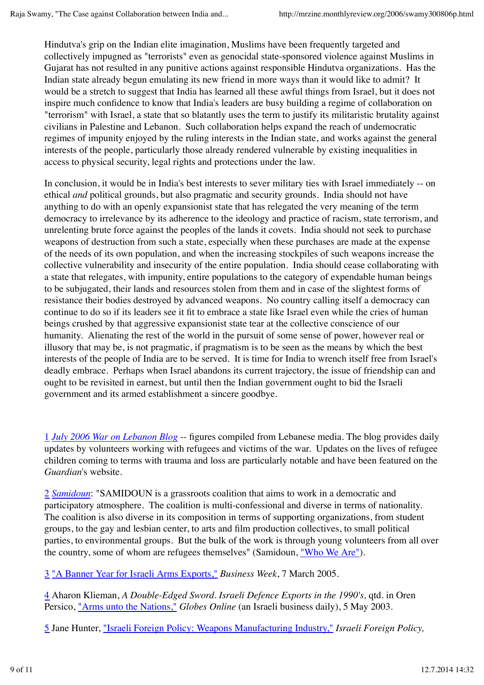Hindutva's grip on the Indian elite imagination, Muslims have been frequently targeted and collectively impugned as "terrorists" even as genocidal state-sponsored violence against Muslims in Gujarat has not resulted in any punitive actions against responsible Hindutva organizations. Has the Indian state already begun emulating its new friend in more ways than it would like to admit? It would be a stretch to suggest that India has learned all these awful things from Israel, but it does not inspire much confidence to know that India's leaders are busy building a regime of collaboration on "terrorism" with Israel, a state that so blatantly uses the term to justify its militaristic brutality against civilians in Palestine and Lebanon. Such collaboration helps expand the reach of undemocratic regimes of impunity enjoyed by the ruling interests in the Indian state, and works against the general interests of the people, particularly those already rendered vulnerable by existing inequalities in access to physical security, legal rights and protections under the law.

In conclusion, it would be in India's best interests to sever military ties with Israel immediately -- on ethical *and* political grounds, but also pragmatic and security grounds. India should not have anything to do with an openly expansionist state that has relegated the very meaning of the term democracy to irrelevance by its adherence to the ideology and practice of racism, state terrorism, and unrelenting brute force against the peoples of the lands it covets. India should not seek to purchase weapons of destruction from such a state, especially when these purchases are made at the expense of the needs of its own population, and when the increasing stockpiles of such weapons increase the collective vulnerability and insecurity of the entire population. India should cease collaborating with a state that relegates, with impunity, entire populations to the category of expendable human beings to be subjugated, their lands and resources stolen from them and in case of the slightest forms of resistance their bodies destroyed by advanced weapons. No country calling itself a democracy can continue to do so if its leaders see it fit to embrace a state like Israel even while the cries of human beings crushed by that aggressive expansionist state tear at the collective conscience of our humanity. Alienating the rest of the world in the pursuit of some sense of power, however real or illusory that may be, is not pragmatic, if pragmatism is to be seen as the means by which the best interests of the people of India are to be served. It is time for India to wrench itself free from Israel's deadly embrace. Perhaps when Israel abandons its current trajectory, the issue of friendship can and ought to be revisited in earnest, but until then the Indian government ought to bid the Israeli government and its armed establishment a sincere goodbye.

1 *July 2006 War on Lebanon Blog* -- figures compiled from Lebanese media. The blog provides daily updates by volunteers working with refugees and victims of the war. Updates on the lives of refugee children coming to terms with trauma and loss are particularly notable and have been featured on the *Guardian*'s website.

2 *Samidoun*: "SAMIDOUN is a grassroots coalition that aims to work in a democratic and participatory atmosphere. The coalition is multi-confessional and diverse in terms of nationality. The coalition is also diverse in its composition in terms of supporting organizations, from student groups, to the gay and lesbian center, to arts and film production collectives, to small political parties, to environmental groups. But the bulk of the work is through young volunteers from all over the country, some of whom are refugees themselves" (Samidoun, "Who We Are").

3 "A Banner Year for Israeli Arms Exports," *Business Week*, 7 March 2005.

4 Aharon Klieman, *A Double-Edged Sword. Israeli Defence Exports in the 1990's,* qtd. in Oren Persico, "Arms unto the Nations," *Globes Online* (an Israeli business daily), 5 May 2003.

5 Jane Hunter, "Israeli Foreign Policy: Weapons Manufacturing Industry," *Israeli Foreign Policy,*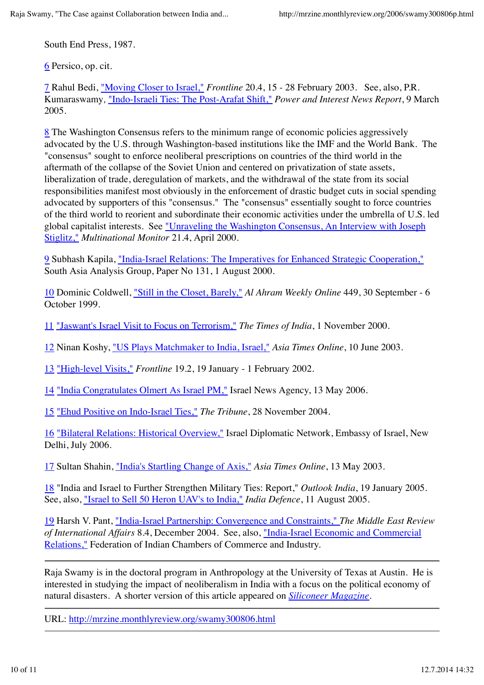South End Press, 1987.

6 Persico, op. cit.

7 Rahul Bedi, "Moving Closer to Israel," *Frontline* 20.4, 15 - 28 February 2003. See, also, P.R. Kumaraswamy*,* "Indo-Israeli Ties: The Post-Arafat Shift," *Power and Interest News Report*, 9 March 2005.

8 The Washington Consensus refers to the minimum range of economic policies aggressively advocated by the U.S. through Washington-based institutions like the IMF and the World Bank. The "consensus" sought to enforce neoliberal prescriptions on countries of the third world in the aftermath of the collapse of the Soviet Union and centered on privatization of state assets, liberalization of trade, deregulation of markets, and the withdrawal of the state from its social responsibilities manifest most obviously in the enforcement of drastic budget cuts in social spending advocated by supporters of this "consensus." The "consensus" essentially sought to force countries of the third world to reorient and subordinate their economic activities under the umbrella of U.S. led global capitalist interests. See "Unraveling the Washington Consensus, An Interview with Joseph Stiglitz," *Multinational Monitor* 21.4, April 2000.

9 Subhash Kapila, "India-Israel Relations: The Imperatives for Enhanced Strategic Cooperation," South Asia Analysis Group, Paper No 131, 1 August 2000.

10 Dominic Coldwell, "Still in the Closet, Barely," *Al Ahram Weekly Online* 449, 30 September - 6 October 1999.

11 "Jaswant's Israel Visit to Focus on Terrorism," *The Times of India*, 1 November 2000.

12 Ninan Koshy, "US Plays Matchmaker to India, Israel," *Asia Times Online*, 10 June 2003.

13 "High-level Visits," *Frontline* 19.2, 19 January - 1 February 2002.

14 "India Congratulates Olmert As Israel PM," Israel News Agency, 13 May 2006.

15 "Ehud Positive on Indo-Israel Ties," *The Tribune*, 28 November 2004.

16 "Bilateral Relations: Historical Overview," Israel Diplomatic Network, Embassy of Israel, New Delhi, July 2006.

17 Sultan Shahin, "India's Startling Change of Axis," *Asia Times Online*, 13 May 2003.

18 "India and Israel to Further Strengthen Military Ties: Report," *Outlook India*, 19 January 2005. See, also, "Israel to Sell 50 Heron UAV's to India," *India Defence*, 11 August 2005.

19 Harsh V. Pant, "India-Israel Partnership: Convergence and Constraints," *The Middle East Review of International Affairs* 8.4, December 2004. See, also, "India-Israel Economic and Commercial Relations," Federation of Indian Chambers of Commerce and Industry.

Raja Swamy is in the doctoral program in Anthropology at the University of Texas at Austin. He is interested in studying the impact of neoliberalism in India with a focus on the political economy of natural disasters. A shorter version of this article appeared on *Siliconeer Magazine*.

URL: http://mrzine.monthlyreview.org/swamy300806.html